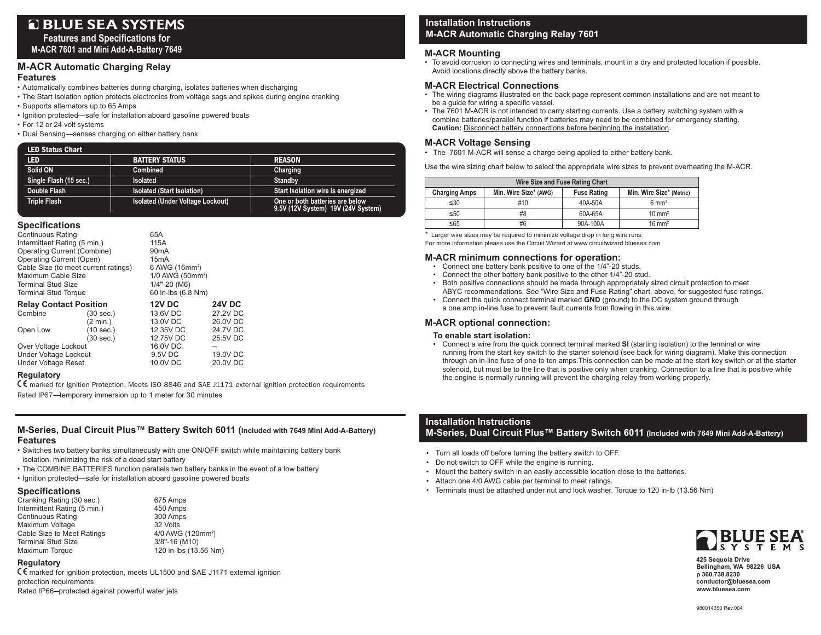# **Q BLUE SEA SYSTEMS**

**Features and Specifications for M-ACR 7601 and Mini Add-A-Battery 7649**

## **M-ACR Automatic Charging Relay**

#### **Features**

- Automatically combines batteries during charging, isolates batteries when discharging
- The Start Isolation option protects electronics from voltage sags and spikes during engine cranking
- Supports alternators up to 65 Amps
- Ignition protected—safe for installation aboard gasoline powered boats
- For 12 or 24 volt systems
- Dual Sensing—senses charging on either battery bank

| <b>LED Status Chart</b> |                                   |                                                                       |  |  |  |
|-------------------------|-----------------------------------|-----------------------------------------------------------------------|--|--|--|
| <b>LED</b>              | <b>BATTERY STATUS</b>             | <b>REASON</b>                                                         |  |  |  |
| Solid ON                | <b>Combined</b>                   | Charging                                                              |  |  |  |
| Single Flash (15 sec.)  | <b>Isolated</b>                   | Standby                                                               |  |  |  |
| Double Flash            | <b>Isolated (Start Isolation)</b> | Start Isolation wire is energized                                     |  |  |  |
| <b>Triple Flash</b>     | Isolated (Under Voltage Lockout)  | One or both batteries are below<br>9.5V (12V System) 19V (24V System) |  |  |  |

### **Specifications**

| Continuous Rating<br>Intermittent Rating (5 min.)<br>Operating Current (Combine)<br>Operating Current (Open)<br>Cable Size (to meet current ratings)<br>Maximum Cable Size<br><b>Terminal Stud Size</b><br><b>Terminal Stud Torque</b> |                     | 65A<br>115A<br>90 <sub>m</sub> A<br>15 <sub>m</sub> A<br>6 AWG (16mm <sup>2</sup> )<br>1/0 AWG (50mm <sup>2</sup> )<br>$1/4$ "-20 (M6)<br>60 in-lbs (6.8 Nm) |               |  |
|----------------------------------------------------------------------------------------------------------------------------------------------------------------------------------------------------------------------------------------|---------------------|--------------------------------------------------------------------------------------------------------------------------------------------------------------|---------------|--|
| <b>Relay Contact Position</b>                                                                                                                                                                                                          |                     | <b>12V DC</b>                                                                                                                                                | <b>24V DC</b> |  |
| Combine                                                                                                                                                                                                                                | $(30 \text{ sec.})$ | 13.6V DC                                                                                                                                                     | 27.2V DC      |  |
|                                                                                                                                                                                                                                        | (2 min.)            | 13.0V DC                                                                                                                                                     | 26.0V DC      |  |
| Open Low                                                                                                                                                                                                                               | $(10 \text{ sec.})$ | 12.35V DC                                                                                                                                                    | 24.7V DC      |  |
|                                                                                                                                                                                                                                        | $(30 \text{ sec.})$ | 12.75V DC                                                                                                                                                    | 25.5V DC      |  |
| Over Voltage Lockout                                                                                                                                                                                                                   |                     | 16.0V DC                                                                                                                                                     |               |  |
| Under Voltage Lockout                                                                                                                                                                                                                  |                     | 9.5V DC                                                                                                                                                      | 19.0V DC      |  |
| <b>Under Voltage Reset</b>                                                                                                                                                                                                             |                     | 10.0V DC                                                                                                                                                     | 20.0V DC      |  |
|                                                                                                                                                                                                                                        |                     |                                                                                                                                                              |               |  |

## **Regulatory**

E marked for Ignition Protection, Meets ISO 8846 and SAE J1171 external ignition protection requirements Rated IP67-temporary immersion up to 1 meter for 30 minutes

### **M-Series, Dual Circuit Plus™ Battery Switch 6011 (Included with 7649 Mini Add-A-Battery) Features**

- Switches two battery banks simultaneously with one ON/OFF switch while maintaining battery bank isolation, minimizing the risk of a dead start battery
- The COMBINE BATTERIES function parallels two battery banks in the event of a low battery
- Ignition protected—safe for installation aboard gasoline powered boats

#### **Specifications**

| Cranking Rating (30 sec.)    | 675 Amps                      |
|------------------------------|-------------------------------|
| Intermittent Rating (5 min.) | 450 Amps                      |
| <b>Continuous Rating</b>     | 300 Amps                      |
| Maximum Voltage              | 32 Volts                      |
| Cable Size to Meet Ratings   | 4/0 AWG (120mm <sup>2</sup> ) |
| <b>Terminal Stud Size</b>    | $3/8$ "-16 (M10)              |
| Maximum Torque               | 120 in-lbs (13.56 Nm)         |

#### **Regulatory**

E marked for ignition protection, meets UL1500 and SAE J1171 external ignition protection requirements Rated IP66--protected against powerful water jets

## **Installation Instructions M-ACR Automatic Charging Relay 7601**

### **M-ACR Mounting**

• To avoid corrosion to connecting wires and terminals, mount in a dry and protected location if possible. Avoid locations directly above the battery banks.

### **M-ACR Electrical Connections**

- The wiring diagrams illustrated on the back page represent common installations and are not meant to be a guide for wiring a specific vessel.
- The 7601 M-ACR is not intended to carry starting currents. Use a battery switching system with a combine batteries/parallel function if batteries may need to be combined for emergency starting. Caution: Disconnect battery connections before beginning the installation.

## **M-ACR Voltage Sensing**

• The 7601 M-ACR will sense a charge being applied to either battery bank.

Use the wire sizing chart below to select the appropriate wire sizes to prevent overheating the M-ACR.

| Wire Size and Fuse Rating Chart |                       |                    |                          |  |  |  |
|---------------------------------|-----------------------|--------------------|--------------------------|--|--|--|
| <b>Charging Amps</b>            | Min. Wire Size* (AWG) | <b>Fuse Rating</b> | Min. Wire Size* (Metric) |  |  |  |
| $\leq 30$                       | #10                   | 40A-50A            | $6 \text{ mm}^2$         |  |  |  |
| $\leq 50$                       | #8                    | 60A-65A            | $10 \text{ mm}^2$        |  |  |  |
| ≤65                             | #6                    | 90A-100A           | $16 \text{ mm}^2$        |  |  |  |

\* Larger wire sizes may be required to minimize voltage drop in long wire runs.

For more information please use the Circuit Wizard at www.circuitwizard.bluesea.com

#### **M-ACR minimum connections for operation:**

- Connect one battery bank positive to one of the 1/4"-20 studs.
- Connect the other battery bank positive to the other 1/4"-20 stud.<br>• Both positive connections should be made through appropriately
- Both positive connections should be made through appropriately sized circuit protection to meet ABYC recommendations. See "Wire Size and Fuse Rating" chart, above, for suggested fuse ratings.
- Connect the quick connect terminal marked **GND** (ground) to the DC system ground through a one amp in-line fuse to prevent fault currents from flowing in this wire.

## **M-ACR optional connection:**

#### **To enable start isolation:**

• Connect a wire from the quick connect terminal marked **SI** (starting isolation) to the terminal or wire running from the start key switch to the starter solenoid (see back for wiring diagram). Make this connection through an in-line fuse of one to ten amps.This connection can be made at the start key switch or at the starter solenoid, but must be to the line that is positive only when cranking. Connection to a line that is positive while the engine is normally running will prevent the charging relay from working properly.

## **Installation Instructions**

## **M-Series, Dual Circuit Plus™ Battery Switch 6011 (Included with 7649 Mini Add-A-Battery)**

- Turn all loads off before turning the battery switch to OFF.
- Do not switch to OFF while the engine is running.
- Mount the battery switch in an easily accessible location close to the batteries.
- Attach one 4/0 AWG cable per terminal to meet ratings.
- Terminals must be attached under nut and lock washer. Torque to 120 in-lb (13.56 Nm)



**425 Sequoia Drive Bellingham, WA 98226 USA p 360.738.8230 conductor@bluesea.com www.bluesea.com**